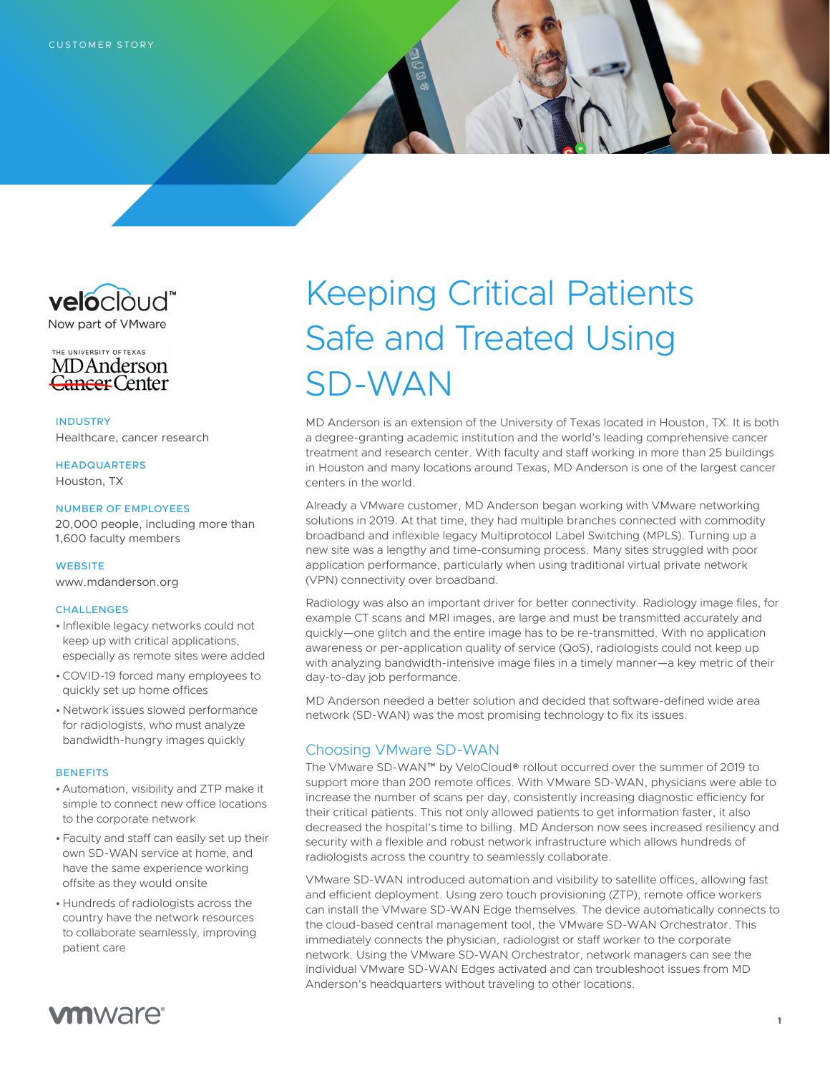



**INDUSTRY** Healthcare, cancer research

HEADQUARTERS Houston, TX

### NUMBER OF EMPLOYEES

20,000 people, including more than 1,600 faculty members

## **WEBSITE**

[www.mdanderson.org](https://www.mdanderson.org/)

#### **CHALLENGES**

- Inflexible legacy networks could not keep up with critical applications, especially as remote sites were added
- •COVID-19 forced many employees to quickly set up home offices
- Network issues slowed performance for radiologists, who must analyze bandwidth-hungry images quickly

#### **BENEFITS**

- Automation, visibility and ZTP make it simple to connect new office locations to the corporate network
- Faculty and staff can easily set up their own SD-WAN service at home, and have the same experience working offsite as they would onsite
- Hundreds of radiologists across the country have the network resources to collaborate seamlessly, improving patient care

# Keeping Critical Patients Safe and Treated Using SD-WAN

MD Anderson is an extension of the University of Texas located in Houston, TX. It is both a degree-granting academic institution and the world's leading comprehensive cancer treatment and research center. With faculty and staff working in more than 25 buildings in Houston and many locations around Texas, MD Anderson is one of the largest cancer centers in the world.

Already a VMware customer, MD Anderson began working with VMware networking solutions in 2019. At that time, they had multiple branches connected with commodity broadband and inflexible legacy Multiprotocol Label Switching (MPLS). Turning up a new site was a lengthy and time-consuming process. Many sites struggled with poor application performance, particularly when using traditional virtual private network (VPN) connectivity over broadband.

Radiology was also an important driver for better connectivity. Radiology image files, for example CT scans and MRI images, are large and must be transmitted accurately and quickly—one glitch and the entire image has to be re-transmitted. With no application awareness or per-application quality of service (QoS), radiologists could not keep up with analyzing bandwidth-intensive image files in a timely manner—a key metric of their day-to-day job performance.

MD Anderson needed a better solution and decided that software-defined wide area network (SD-WAN) was the most promising technology to fix its issues.

# Choosing VMware SD-WAN

The VMware SD-WAN™ by VeloCloud® rollout occurred over the summer of 2019 to support more than 200 remote offices. With VMware SD-WAN, physicians were able to increase the number of scans per day, consistently increasing diagnostic efficiency for their critical patients. This not only allowed patients to get information faster, it also decreased the hospital's time to billing. MD Anderson now sees increased resiliency and security with a flexible and robust network infrastructure which allows hundreds of radiologists across the country to seamlessly collaborate.

VMware SD-WAN introduced automation and visibility to satellite offices, allowing fast and efficient deployment. Using zero touch provisioning (ZTP), remote office workers can install the VMware SD-WAN Edge themselves. The device automatically connects to the cloud-based central management tool, the VMware SD-WAN Orchestrator. This immediately connects the physician, radiologist or staff worker to the corporate network. Using the VMware SD-WAN Orchestrator, network managers can see the individual VMware SD-WAN Edges activated and can troubleshoot issues from MD Anderson's headquarters without traveling to other locations.

# **vm**ware<sup>®</sup>